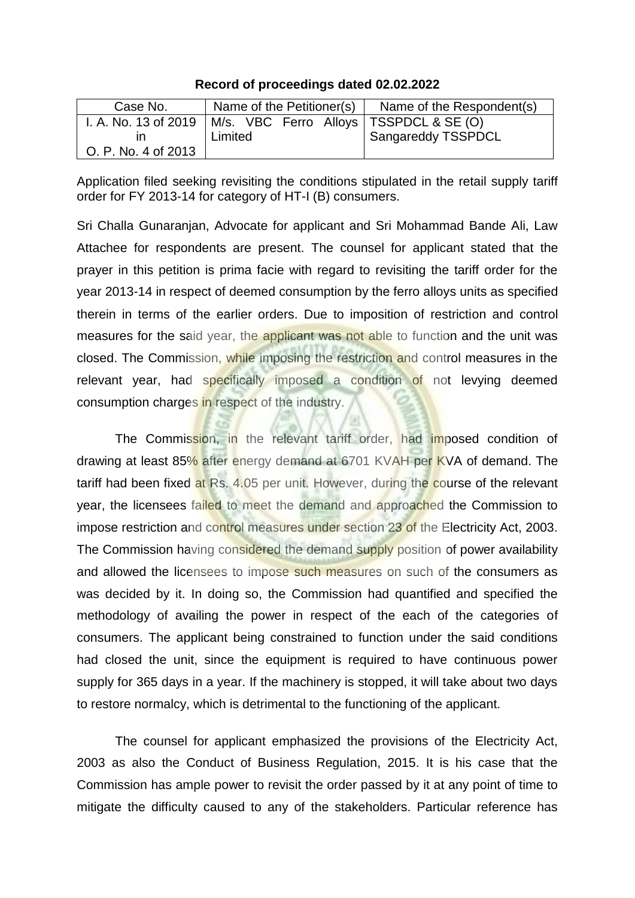| Case No.            | Name of the Petitioner(s)                                       | Name of the Respondent(s)       |
|---------------------|-----------------------------------------------------------------|---------------------------------|
|                     | I. A. No. 13 of 2019   M/s. VBC Ferro Alloys   TSSPDCL & SE (O) |                                 |
|                     | Limited                                                         | <sup>1</sup> Sangareddy TSSPDCL |
| O. P. No. 4 of 2013 |                                                                 |                                 |

## **Record of proceedings dated 02.02.2022**

Application filed seeking revisiting the conditions stipulated in the retail supply tariff order for FY 2013-14 for category of HT-I (B) consumers.

Sri Challa Gunaranjan, Advocate for applicant and Sri Mohammad Bande Ali, Law Attachee for respondents are present. The counsel for applicant stated that the prayer in this petition is prima facie with regard to revisiting the tariff order for the year 2013-14 in respect of deemed consumption by the ferro alloys units as specified therein in terms of the earlier orders. Due to imposition of restriction and control measures for the said year, the applicant was not able to function and the unit was closed. The Commission, while imposing the restriction and control measures in the relevant year, had specifically imposed a condition of not levying deemed consumption charges in respect of the industry.

The Commission, in the relevant tariff order, had imposed condition of drawing at least 85% after energy demand at 6701 KVAH per KVA of demand. The tariff had been fixed at Rs. 4.05 per unit. However, during the course of the relevant year, the licensees failed to meet the demand and approached the Commission to impose restriction and control measures under section 23 of the Electricity Act, 2003. The Commission having considered the demand supply position of power availability and allowed the licensees to impose such measures on such of the consumers as was decided by it. In doing so, the Commission had quantified and specified the methodology of availing the power in respect of the each of the categories of consumers. The applicant being constrained to function under the said conditions had closed the unit, since the equipment is required to have continuous power supply for 365 days in a year. If the machinery is stopped, it will take about two days to restore normalcy, which is detrimental to the functioning of the applicant.

The counsel for applicant emphasized the provisions of the Electricity Act, 2003 as also the Conduct of Business Regulation, 2015. It is his case that the Commission has ample power to revisit the order passed by it at any point of time to mitigate the difficulty caused to any of the stakeholders. Particular reference has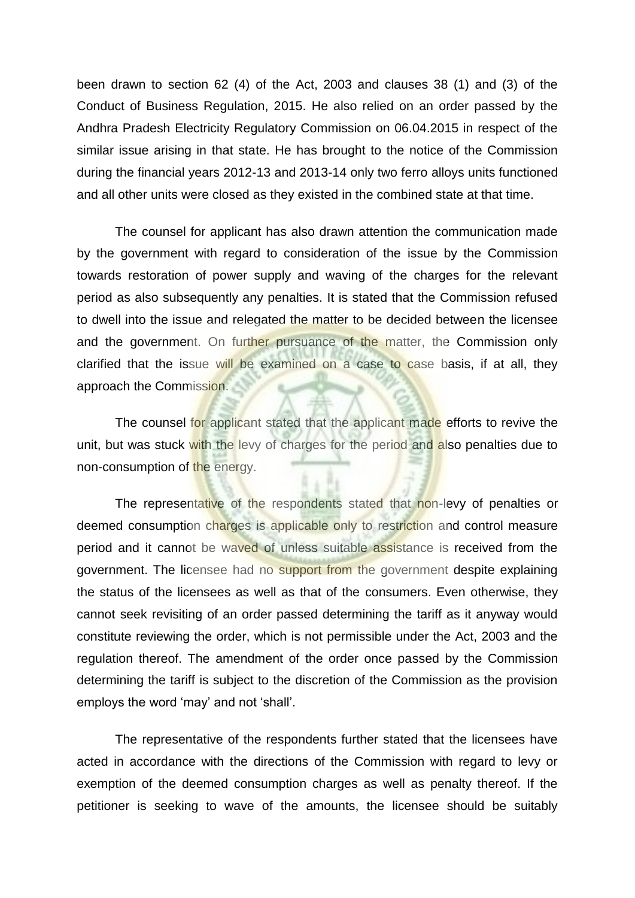been drawn to section 62 (4) of the Act, 2003 and clauses 38 (1) and (3) of the Conduct of Business Regulation, 2015. He also relied on an order passed by the Andhra Pradesh Electricity Regulatory Commission on 06.04.2015 in respect of the similar issue arising in that state. He has brought to the notice of the Commission during the financial years 2012-13 and 2013-14 only two ferro alloys units functioned and all other units were closed as they existed in the combined state at that time.

The counsel for applicant has also drawn attention the communication made by the government with regard to consideration of the issue by the Commission towards restoration of power supply and waving of the charges for the relevant period as also subsequently any penalties. It is stated that the Commission refused to dwell into the issue and relegated the matter to be decided between the licensee and the government. On further pursuance of the matter, the Commission only clarified that the issue will be examined on a case to case basis, if at all, they approach the Commission.

The counsel for applicant stated that the applicant made efforts to revive the unit, but was stuck with the levy of charges for the period and also penalties due to non-consumption of the energy.

The representative of the respondents stated that non-levy of penalties or deemed consumption charges is applicable only to restriction and control measure period and it cannot be waved of unless suitable assistance is received from the government. The licensee had no support from the government despite explaining the status of the licensees as well as that of the consumers. Even otherwise, they cannot seek revisiting of an order passed determining the tariff as it anyway would constitute reviewing the order, which is not permissible under the Act, 2003 and the regulation thereof. The amendment of the order once passed by the Commission determining the tariff is subject to the discretion of the Commission as the provision employs the word 'may' and not 'shall'.

The representative of the respondents further stated that the licensees have acted in accordance with the directions of the Commission with regard to levy or exemption of the deemed consumption charges as well as penalty thereof. If the petitioner is seeking to wave of the amounts, the licensee should be suitably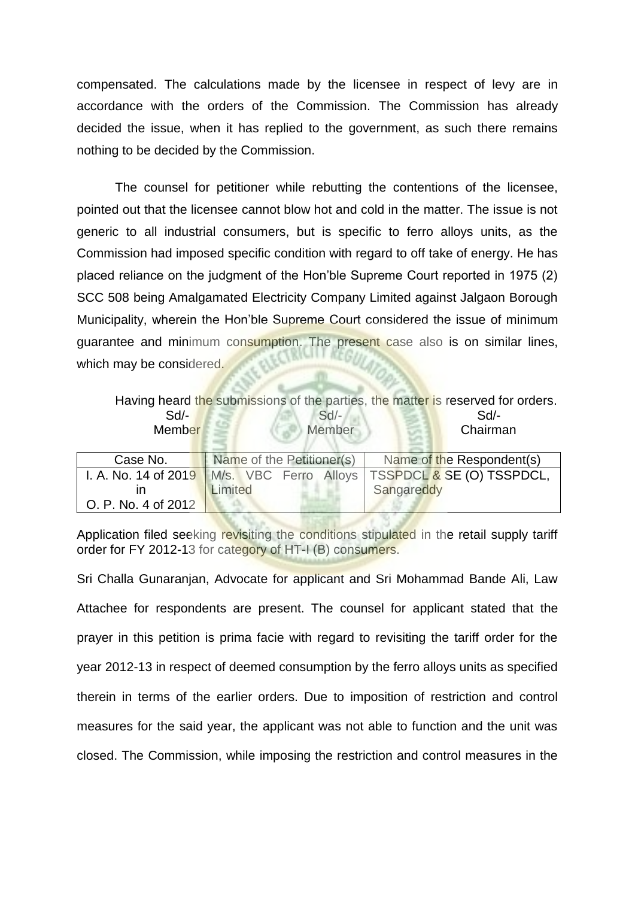compensated. The calculations made by the licensee in respect of levy are in accordance with the orders of the Commission. The Commission has already decided the issue, when it has replied to the government, as such there remains nothing to be decided by the Commission.

The counsel for petitioner while rebutting the contentions of the licensee, pointed out that the licensee cannot blow hot and cold in the matter. The issue is not generic to all industrial consumers, but is specific to ferro alloys units, as the Commission had imposed specific condition with regard to off take of energy. He has placed reliance on the judgment of the Hon'ble Supreme Court reported in 1975 (2) SCC 508 being Amalgamated Electricity Company Limited against Jalgaon Borough Municipality, wherein the Hon'ble Supreme Court considered the issue of minimum guarantee and minimum consumption. The present case also is on similar lines, which may be considered.

|                                                                          |                           |        | Having heard the submissions of the parties, the matter is reserved for orders. |
|--------------------------------------------------------------------------|---------------------------|--------|---------------------------------------------------------------------------------|
| $Sd$ -                                                                   |                           | $Sd$ - | Sd                                                                              |
| <b>Member</b>                                                            |                           | Member | Chairman                                                                        |
|                                                                          |                           |        |                                                                                 |
| Case No.                                                                 | Name of the Petitioner(s) |        | Name of the Respondent(s)                                                       |
| I. A. No. 14 of 2019   M/s. VBC Ferro Alloys   TSSPDCL & SE (O) TSSPDCL, |                           |        |                                                                                 |

**Sangareddy** 

Application filed seeking revisiting the conditions stipulated in the retail supply tariff order for FY 2012-13 for category of HT-I (B) consumers.

in O. P. No. 4 of 2012 **Limited** 

Sri Challa Gunaranjan, Advocate for applicant and Sri Mohammad Bande Ali, Law Attachee for respondents are present. The counsel for applicant stated that the prayer in this petition is prima facie with regard to revisiting the tariff order for the year 2012-13 in respect of deemed consumption by the ferro alloys units as specified therein in terms of the earlier orders. Due to imposition of restriction and control measures for the said year, the applicant was not able to function and the unit was closed. The Commission, while imposing the restriction and control measures in the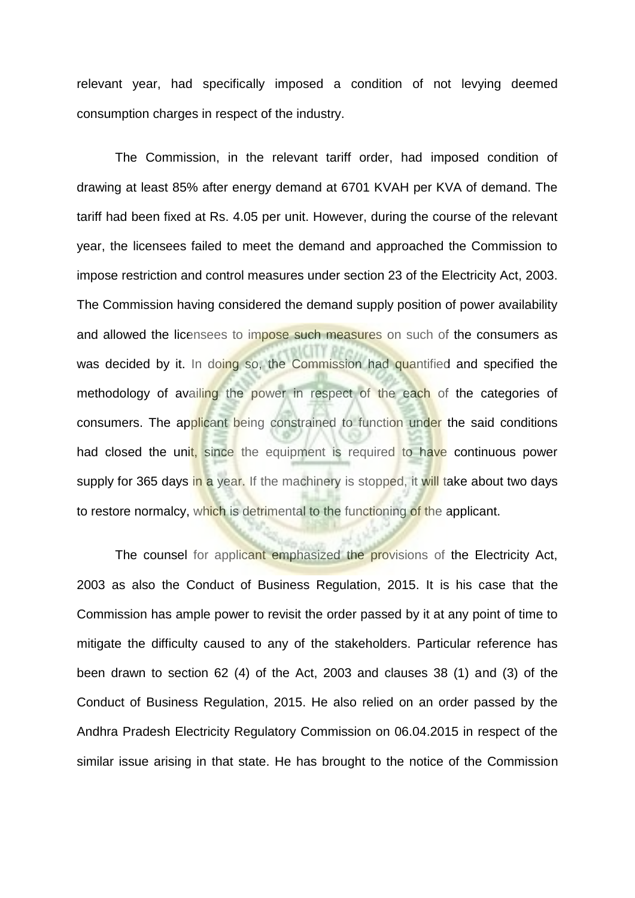relevant year, had specifically imposed a condition of not levying deemed consumption charges in respect of the industry.

The Commission, in the relevant tariff order, had imposed condition of drawing at least 85% after energy demand at 6701 KVAH per KVA of demand. The tariff had been fixed at Rs. 4.05 per unit. However, during the course of the relevant year, the licensees failed to meet the demand and approached the Commission to impose restriction and control measures under section 23 of the Electricity Act, 2003. The Commission having considered the demand supply position of power availability and allowed the licensees to impose such measures on such of the consumers as was decided by it. In doing so, the Commission had quantified and specified the methodology of availing the power in respect of the each of the categories of consumers. The applicant being constrained to function under the said conditions had closed the unit, since the equipment is required to have continuous power supply for 365 days in a year. If the machinery is stopped, it will take about two days to restore normalcy, which is detrimental to the functioning of the applicant.

The counsel for applicant emphasized the provisions of the Electricity Act, 2003 as also the Conduct of Business Regulation, 2015. It is his case that the Commission has ample power to revisit the order passed by it at any point of time to mitigate the difficulty caused to any of the stakeholders. Particular reference has been drawn to section 62 (4) of the Act, 2003 and clauses 38 (1) and (3) of the Conduct of Business Regulation, 2015. He also relied on an order passed by the Andhra Pradesh Electricity Regulatory Commission on 06.04.2015 in respect of the similar issue arising in that state. He has brought to the notice of the Commission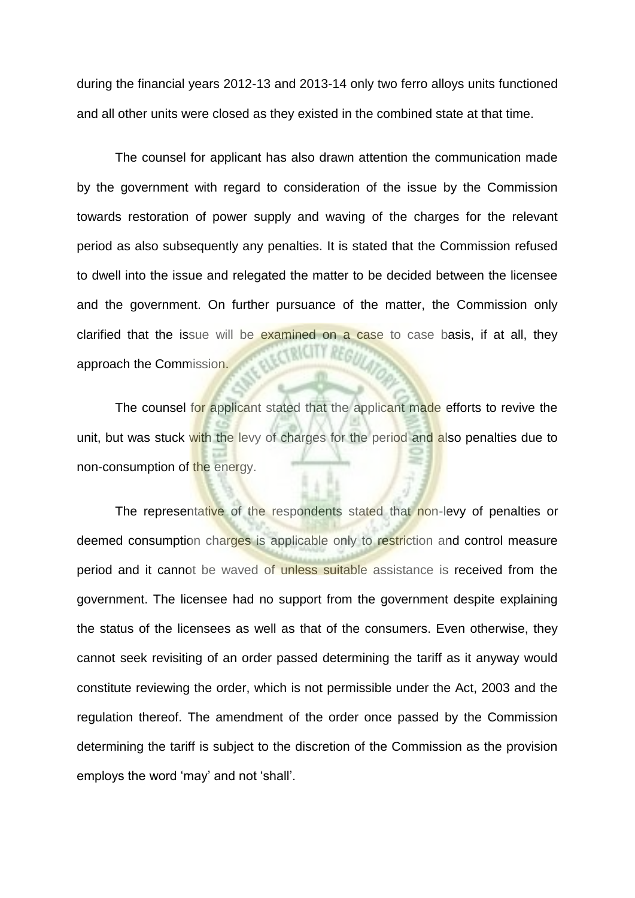during the financial years 2012-13 and 2013-14 only two ferro alloys units functioned and all other units were closed as they existed in the combined state at that time.

The counsel for applicant has also drawn attention the communication made by the government with regard to consideration of the issue by the Commission towards restoration of power supply and waving of the charges for the relevant period as also subsequently any penalties. It is stated that the Commission refused to dwell into the issue and relegated the matter to be decided between the licensee and the government. On further pursuance of the matter, the Commission only clarified that the issue will be examined on a case to case basis, if at all, they approach the Commission.

The counsel for applicant stated that the applicant made efforts to revive the unit, but was stuck with the levy of charges for the period and also penalties due to non-consumption of the energy.

The representative of the respondents stated that non-levy of penalties or deemed consumption charges is applicable only to restriction and control measure period and it cannot be waved of unless suitable assistance is received from the government. The licensee had no support from the government despite explaining the status of the licensees as well as that of the consumers. Even otherwise, they cannot seek revisiting of an order passed determining the tariff as it anyway would constitute reviewing the order, which is not permissible under the Act, 2003 and the regulation thereof. The amendment of the order once passed by the Commission determining the tariff is subject to the discretion of the Commission as the provision employs the word 'may' and not 'shall'.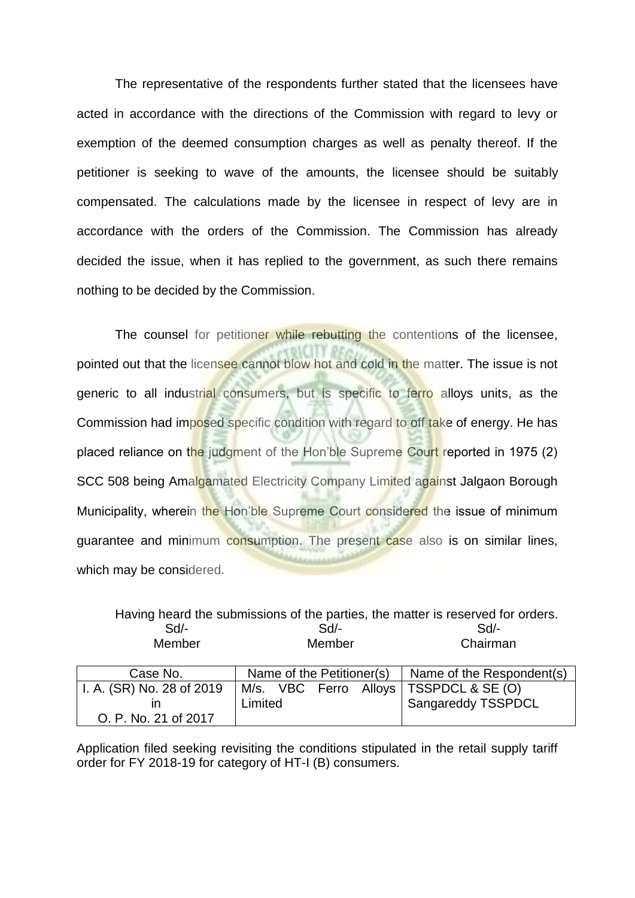The representative of the respondents further stated that the licensees have acted in accordance with the directions of the Commission with regard to levy or exemption of the deemed consumption charges as well as penalty thereof. If the petitioner is seeking to wave of the amounts, the licensee should be suitably compensated. The calculations made by the licensee in respect of levy are in accordance with the orders of the Commission. The Commission has already decided the issue, when it has replied to the government, as such there remains nothing to be decided by the Commission.

The counsel for petitioner while rebutting the contentions of the licensee, pointed out that the licensee cannot blow hot and cold in the matter. The issue is not generic to all industrial consumers, but is specific to ferro alloys units, as the Commission had imposed specific condition with regard to off take of energy. He has placed reliance on the judgment of the Hon'ble Supreme Court reported in 1975 (2) SCC 508 being Amalgamated Electricity Company Limited against Jalgaon Borough Municipality, wherein the Hon'ble Supreme Court considered the issue of minimum guarantee and minimum consumption. The present case also is on similar lines, which may be considered.

| $Sd$ -<br>Member          |                           | Sd<br>Member | Sd<br>Chairman                           |
|---------------------------|---------------------------|--------------|------------------------------------------|
| Case No.                  | Name of the Petitioner(s) |              | Name of the Respondent(s)                |
| I. A. (SR) No. 28 of 2019 |                           |              | M/s. VBC Ferro Alloys   TSSPDCL & SE (O) |
|                           | Limited                   |              | <b>Sangareddy TSSPDCL</b>                |
| O. P. No. 21 of 2017      |                           |              |                                          |

Having heard the submissions of the parties, the matter is reserved for orders.

Application filed seeking revisiting the conditions stipulated in the retail supply tariff order for FY 2018-19 for category of HT-I (B) consumers.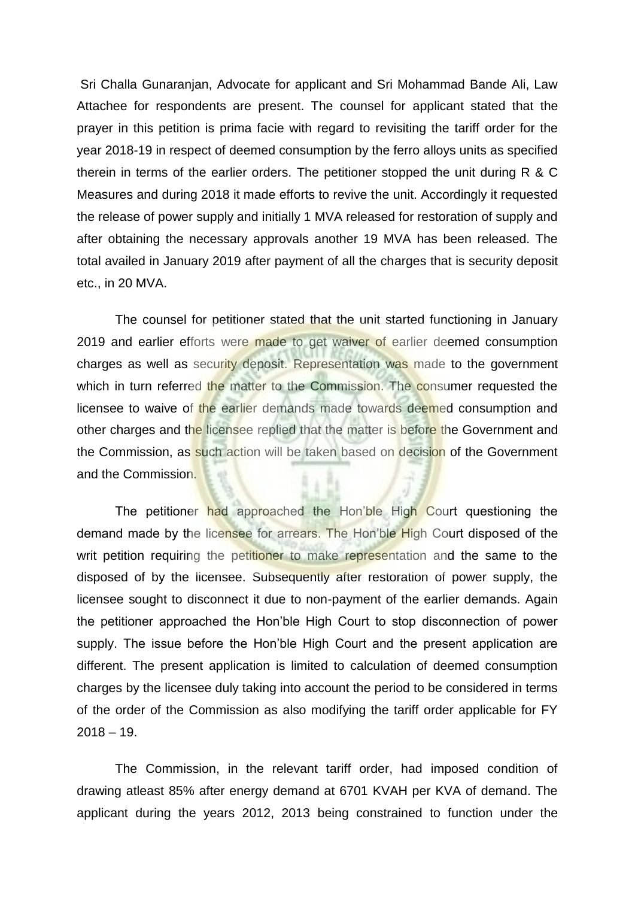Sri Challa Gunaranjan, Advocate for applicant and Sri Mohammad Bande Ali, Law Attachee for respondents are present. The counsel for applicant stated that the prayer in this petition is prima facie with regard to revisiting the tariff order for the year 2018-19 in respect of deemed consumption by the ferro alloys units as specified therein in terms of the earlier orders. The petitioner stopped the unit during R & C Measures and during 2018 it made efforts to revive the unit. Accordingly it requested the release of power supply and initially 1 MVA released for restoration of supply and after obtaining the necessary approvals another 19 MVA has been released. The total availed in January 2019 after payment of all the charges that is security deposit etc., in 20 MVA.

The counsel for petitioner stated that the unit started functioning in January 2019 and earlier efforts were made to get waiver of earlier deemed consumption charges as well as security deposit. Representation was made to the government which in turn referred the matter to the Commission. The consumer requested the licensee to waive of the earlier demands made towards deemed consumption and other charges and the licensee replied that the matter is before the Government and the Commission, as such action will be taken based on decision of the Government and the Commission.

The petitioner had approached the Hon'ble High Court questioning the demand made by the licensee for arrears. The Hon'ble High Court disposed of the writ petition requiring the petitioner to make representation and the same to the disposed of by the licensee. Subsequently after restoration of power supply, the licensee sought to disconnect it due to non-payment of the earlier demands. Again the petitioner approached the Hon'ble High Court to stop disconnection of power supply. The issue before the Hon'ble High Court and the present application are different. The present application is limited to calculation of deemed consumption charges by the licensee duly taking into account the period to be considered in terms of the order of the Commission as also modifying the tariff order applicable for FY  $2018 - 19$ .

The Commission, in the relevant tariff order, had imposed condition of drawing atleast 85% after energy demand at 6701 KVAH per KVA of demand. The applicant during the years 2012, 2013 being constrained to function under the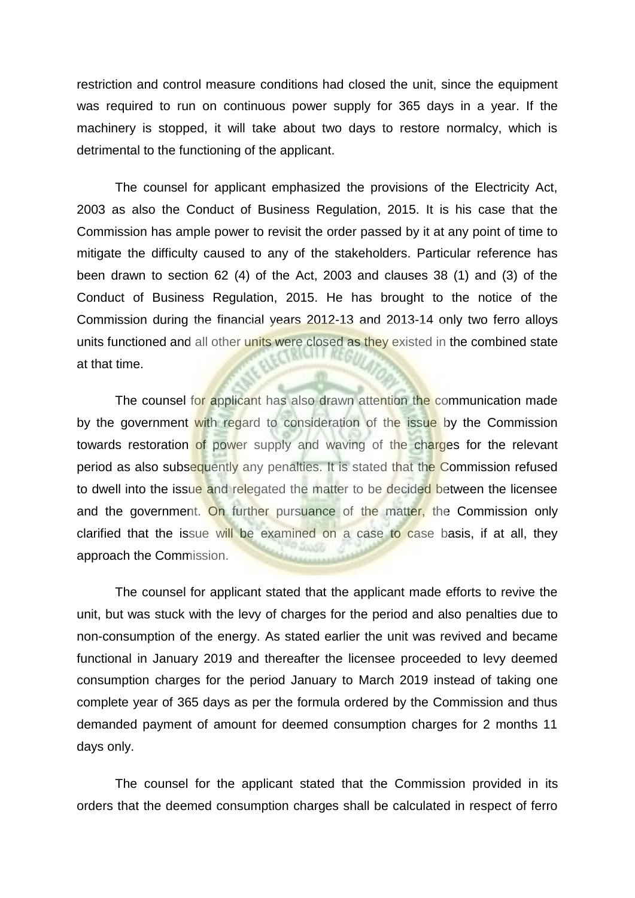restriction and control measure conditions had closed the unit, since the equipment was required to run on continuous power supply for 365 days in a year. If the machinery is stopped, it will take about two days to restore normalcy, which is detrimental to the functioning of the applicant.

The counsel for applicant emphasized the provisions of the Electricity Act, 2003 as also the Conduct of Business Regulation, 2015. It is his case that the Commission has ample power to revisit the order passed by it at any point of time to mitigate the difficulty caused to any of the stakeholders. Particular reference has been drawn to section 62 (4) of the Act, 2003 and clauses 38 (1) and (3) of the Conduct of Business Regulation, 2015. He has brought to the notice of the Commission during the financial years 2012-13 and 2013-14 only two ferro alloys units functioned and all other units were closed as they existed in the combined state at that time.

The counsel for applicant has also drawn attention the communication made by the government with regard to consideration of the issue by the Commission towards restoration of power supply and waving of the charges for the relevant period as also subsequently any penalties. It is stated that the Commission refused to dwell into the issue and relegated the matter to be decided between the licensee and the government. On further pursuance of the matter, the Commission only clarified that the issue will be examined on a case to case basis, if at all, they approach the Commission.

The counsel for applicant stated that the applicant made efforts to revive the unit, but was stuck with the levy of charges for the period and also penalties due to non-consumption of the energy. As stated earlier the unit was revived and became functional in January 2019 and thereafter the licensee proceeded to levy deemed consumption charges for the period January to March 2019 instead of taking one complete year of 365 days as per the formula ordered by the Commission and thus demanded payment of amount for deemed consumption charges for 2 months 11 days only.

The counsel for the applicant stated that the Commission provided in its orders that the deemed consumption charges shall be calculated in respect of ferro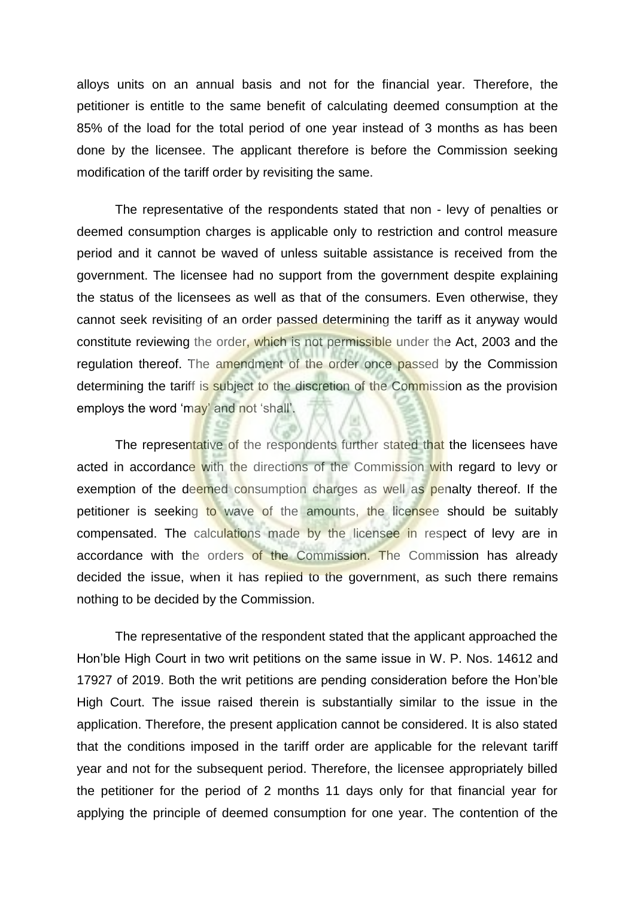alloys units on an annual basis and not for the financial year. Therefore, the petitioner is entitle to the same benefit of calculating deemed consumption at the 85% of the load for the total period of one year instead of 3 months as has been done by the licensee. The applicant therefore is before the Commission seeking modification of the tariff order by revisiting the same.

The representative of the respondents stated that non - levy of penalties or deemed consumption charges is applicable only to restriction and control measure period and it cannot be waved of unless suitable assistance is received from the government. The licensee had no support from the government despite explaining the status of the licensees as well as that of the consumers. Even otherwise, they cannot seek revisiting of an order passed determining the tariff as it anyway would constitute reviewing the order, which is not permissible under the Act, 2003 and the regulation thereof. The amendment of the order once passed by the Commission determining the tariff is subject to the discretion of the Commission as the provision employs the word 'may' and not 'shall'.

The representative of the respondents further stated that the licensees have acted in accordance with the directions of the Commission with regard to levy or exemption of the deemed consumption charges as well as penalty thereof. If the petitioner is seeking to wave of the amounts, the licensee should be suitably compensated. The calculations made by the licensee in respect of levy are in accordance with the orders of the Commission. The Commission has already decided the issue, when it has replied to the government, as such there remains nothing to be decided by the Commission.

The representative of the respondent stated that the applicant approached the Hon'ble High Court in two writ petitions on the same issue in W. P. Nos. 14612 and 17927 of 2019. Both the writ petitions are pending consideration before the Hon'ble High Court. The issue raised therein is substantially similar to the issue in the application. Therefore, the present application cannot be considered. It is also stated that the conditions imposed in the tariff order are applicable for the relevant tariff year and not for the subsequent period. Therefore, the licensee appropriately billed the petitioner for the period of 2 months 11 days only for that financial year for applying the principle of deemed consumption for one year. The contention of the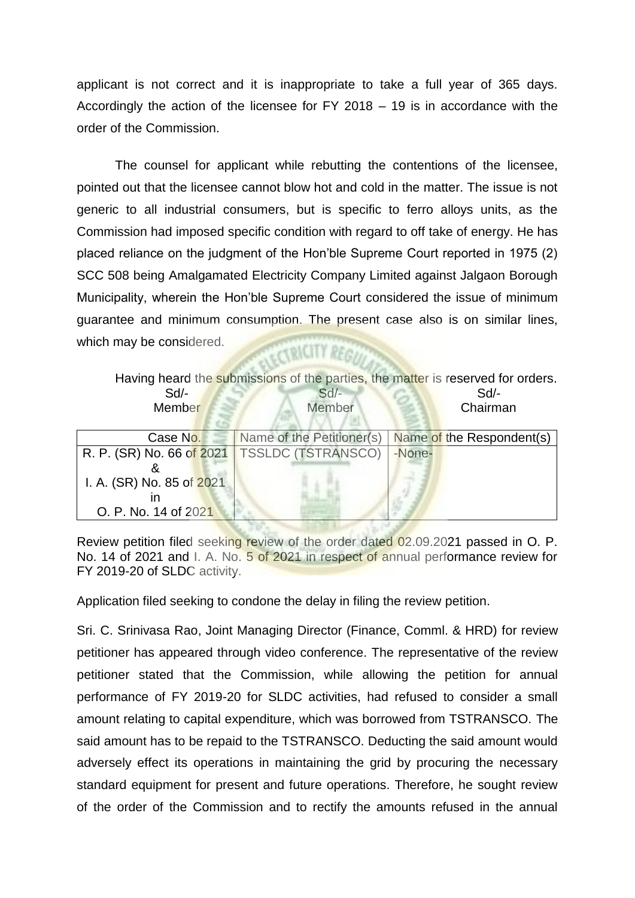applicant is not correct and it is inappropriate to take a full year of 365 days. Accordingly the action of the licensee for FY 2018 – 19 is in accordance with the order of the Commission.

The counsel for applicant while rebutting the contentions of the licensee, pointed out that the licensee cannot blow hot and cold in the matter. The issue is not generic to all industrial consumers, but is specific to ferro alloys units, as the Commission had imposed specific condition with regard to off take of energy. He has placed reliance on the judgment of the Hon'ble Supreme Court reported in 1975 (2) SCC 508 being Amalgamated Electricity Company Limited against Jalgaon Borough Municipality, wherein the Hon'ble Supreme Court considered the issue of minimum guarantee and minimum consumption. The present case also is on similar lines, which may be considered. A FECTRICITY REGULAR

| Sd/-<br>Member            | $Sd$ -<br>Member          | Having heard the submissions of the parties, the matter is reserved for orders.<br>Sd<br>Chairman |
|---------------------------|---------------------------|---------------------------------------------------------------------------------------------------|
| Case No.                  | Name of the Petitioner(s) | Name of the Respondent(s)                                                                         |
| R. P. (SR) No. 66 of 2021 | <b>TSSLDC (TSTRANSCO)</b> | -None-                                                                                            |
|                           |                           |                                                                                                   |
| I. A. (SR) No. 85 of 2021 |                           |                                                                                                   |
| ın                        |                           |                                                                                                   |
| O. P. No. 14 of 2021      |                           |                                                                                                   |

Review petition filed seeking review of the order dated 02.09.2021 passed in O. P. No. 14 of 2021 and I. A. No. 5 of 2021 in respect of annual performance review for FY 2019-20 of SLDC activity.

Application filed seeking to condone the delay in filing the review petition.

Sri. C. Srinivasa Rao, Joint Managing Director (Finance, Comml. & HRD) for review petitioner has appeared through video conference. The representative of the review petitioner stated that the Commission, while allowing the petition for annual performance of FY 2019-20 for SLDC activities, had refused to consider a small amount relating to capital expenditure, which was borrowed from TSTRANSCO. The said amount has to be repaid to the TSTRANSCO. Deducting the said amount would adversely effect its operations in maintaining the grid by procuring the necessary standard equipment for present and future operations. Therefore, he sought review of the order of the Commission and to rectify the amounts refused in the annual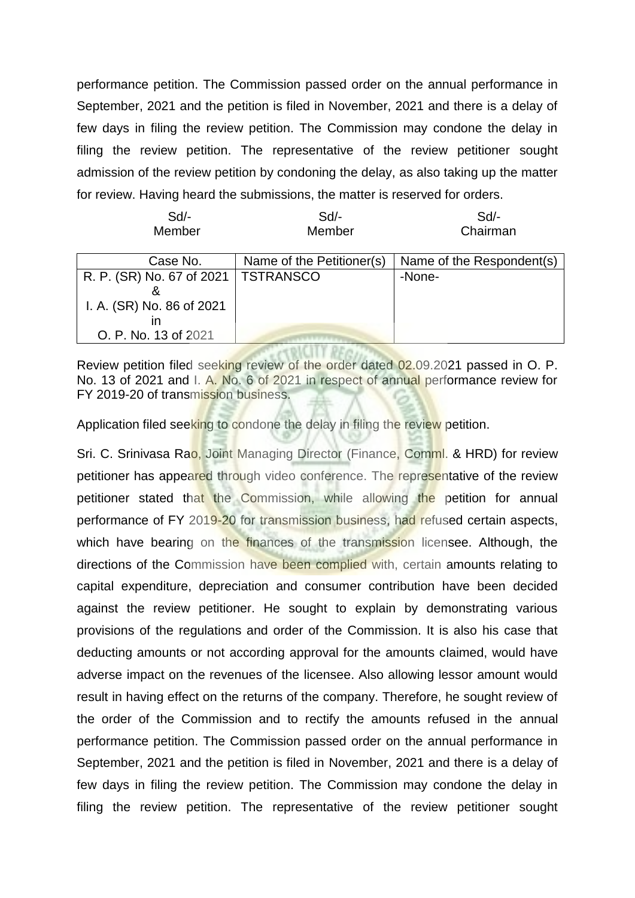performance petition. The Commission passed order on the annual performance in September, 2021 and the petition is filed in November, 2021 and there is a delay of few days in filing the review petition. The Commission may condone the delay in filing the review petition. The representative of the review petitioner sought admission of the review petition by condoning the delay, as also taking up the matter for review. Having heard the submissions, the matter is reserved for orders.

| $Sd$ - | Sd/-   | Sd/-     |
|--------|--------|----------|
| Member | Member | Chairman |

| Case No.                              | Name of the Petitioner(s) | Name of the Respondent(s) |
|---------------------------------------|---------------------------|---------------------------|
| R. P. (SR) No. 67 of 2021   TSTRANSCO |                           | -None-                    |
|                                       |                           |                           |
| I. A. (SR) No. 86 of 2021             |                           |                           |
|                                       |                           |                           |
| O. P. No. 13 of 2021                  |                           |                           |
|                                       |                           |                           |

**SEKULT KEO** Review petition filed seeking review of the order dated 02.09.2021 passed in O. P. No. 13 of 2021 and I. A. No. 6 of 2021 in respect of annual performance review for FY 2019-20 of transmission business.

Application filed seeking to condone the delay in filing the review petition.

Sri. C. Srinivasa Rao, Joint Managing Director (Finance, Comml. & HRD) for review petitioner has appeared through video conference. The representative of the review petitioner stated that the Commission, while allowing the petition for annual performance of FY 2019-20 for transmission business, had refused certain aspects, which have bearing on the finances of the transmission licensee. Although, the directions of the Commission have been complied with, certain amounts relating to capital expenditure, depreciation and consumer contribution have been decided against the review petitioner. He sought to explain by demonstrating various provisions of the regulations and order of the Commission. It is also his case that deducting amounts or not according approval for the amounts claimed, would have adverse impact on the revenues of the licensee. Also allowing lessor amount would result in having effect on the returns of the company. Therefore, he sought review of the order of the Commission and to rectify the amounts refused in the annual performance petition. The Commission passed order on the annual performance in September, 2021 and the petition is filed in November, 2021 and there is a delay of few days in filing the review petition. The Commission may condone the delay in filing the review petition. The representative of the review petitioner sought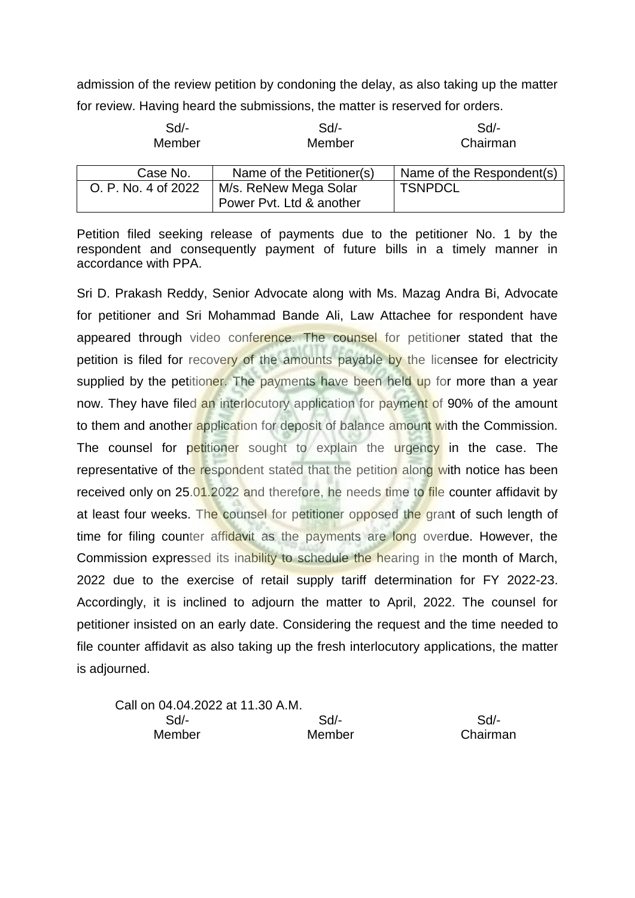admission of the review petition by condoning the delay, as also taking up the matter for review. Having heard the submissions, the matter is reserved for orders.

| Sd/-   | Sd/-   | Sd/-     |
|--------|--------|----------|
| Member | Member | Chairman |

| Case No.            | Name of the Petitioner(s) | Name of the Respondent(s) |
|---------------------|---------------------------|---------------------------|
| O. P. No. 4 of 2022 | M/s. ReNew Mega Solar     | <b>TSNPDCL</b>            |
|                     | Power Pvt. Ltd & another  |                           |

Petition filed seeking release of payments due to the petitioner No. 1 by the respondent and consequently payment of future bills in a timely manner in accordance with PPA.

Sri D. Prakash Reddy, Senior Advocate along with Ms. Mazag Andra Bi, Advocate for petitioner and Sri Mohammad Bande Ali, Law Attachee for respondent have appeared through video conference. The counsel for petitioner stated that the petition is filed for recovery of the amounts payable by the licensee for electricity supplied by the petitioner. The payments have been held up for more than a year now. They have filed an interlocutory application for payment of 90% of the amount to them and another application for deposit of balance amount with the Commission. The counsel for petitioner sought to explain the urgency in the case. The representative of the respondent stated that the petition along with notice has been received only on 25.01.2022 and therefore, he needs time to file counter affidavit by at least four weeks. The counsel for petitioner opposed the grant of such length of time for filing counter affidavit as the payments are long overdue. However, the Commission expressed its inability to schedule the hearing in the month of March, 2022 due to the exercise of retail supply tariff determination for FY 2022-23. Accordingly, it is inclined to adjourn the matter to April, 2022. The counsel for petitioner insisted on an early date. Considering the request and the time needed to file counter affidavit as also taking up the fresh interlocutory applications, the matter is adjourned.

| Call on 04.04.2022 at 11.30 A.M. |        |          |
|----------------------------------|--------|----------|
| Sd/-                             | Sd/-   | $Sd$ -   |
| Member                           | Member | Chairman |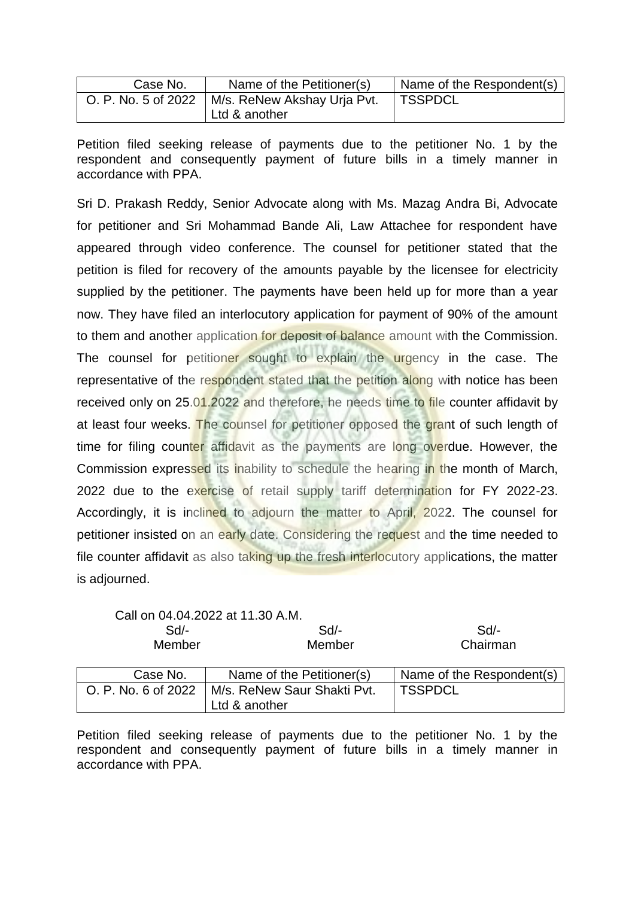| Case No. | Name of the Petitioner(s)                         | Name of the Respondent(s) |
|----------|---------------------------------------------------|---------------------------|
|          | O. P. No. 5 of 2022   M/s. ReNew Akshay Urja Pvt. | <b>TSSPDCL</b>            |
|          | Ltd & another                                     |                           |

Sri D. Prakash Reddy, Senior Advocate along with Ms. Mazag Andra Bi, Advocate for petitioner and Sri Mohammad Bande Ali, Law Attachee for respondent have appeared through video conference. The counsel for petitioner stated that the petition is filed for recovery of the amounts payable by the licensee for electricity supplied by the petitioner. The payments have been held up for more than a year now. They have filed an interlocutory application for payment of 90% of the amount to them and another application for deposit of balance amount with the Commission. The counsel for petitioner sought to explain the urgency in the case. The representative of the respondent stated that the petition along with notice has been received only on 25.01.2022 and therefore, he needs time to file counter affidavit by at least four weeks. The counsel for petitioner opposed the grant of such length of time for filing counter affidavit as the payments are long overdue. However, the Commission expressed its inability to schedule the hearing in the month of March, 2022 due to the exercise of retail supply tariff determination for FY 2022-23. Accordingly, it is inclined to adjourn the matter to April, 2022. The counsel for petitioner insisted on an early date. Considering the request and the time needed to file counter affidavit as also taking up the fresh interlocutory applications, the matter is adjourned.

Call on 04.04.2022 at 11.30 A.M.

Ltd & another

| $Sd$ -<br>Member | $Sd$ -<br>Member                                  | $Sd$ -<br>Chairman        |
|------------------|---------------------------------------------------|---------------------------|
| Case No.         | Name of the Petitioner(s)                         | Name of the Respondent(s) |
|                  | O. P. No. 6 of 2022   M/s. ReNew Saur Shakti Pvt. | 'TSSPDCL                  |

Petition filed seeking release of payments due to the petitioner No. 1 by the respondent and consequently payment of future bills in a timely manner in accordance with PPA.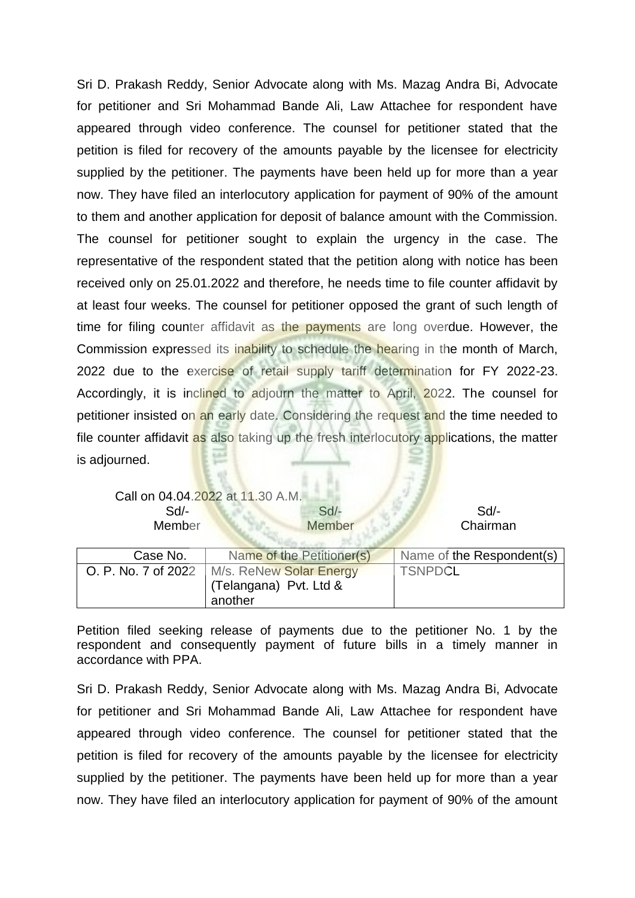Sri D. Prakash Reddy, Senior Advocate along with Ms. Mazag Andra Bi, Advocate for petitioner and Sri Mohammad Bande Ali, Law Attachee for respondent have appeared through video conference. The counsel for petitioner stated that the petition is filed for recovery of the amounts payable by the licensee for electricity supplied by the petitioner. The payments have been held up for more than a year now. They have filed an interlocutory application for payment of 90% of the amount to them and another application for deposit of balance amount with the Commission. The counsel for petitioner sought to explain the urgency in the case. The representative of the respondent stated that the petition along with notice has been received only on 25.01.2022 and therefore, he needs time to file counter affidavit by at least four weeks. The counsel for petitioner opposed the grant of such length of time for filing counter affidavit as the payments are long overdue. However, the Commission expressed its inability to schedule the hearing in the month of March, 2022 due to the exercise of retail supply tariff determination for FY 2022-23. Accordingly, it is inclined to adjourn the matter to April, 2022. The counsel for petitioner insisted on an early date. Considering the request and the time needed to file counter affidavit as also taking up the fresh interlocutory applications, the matter is adjourned.

Call on 04.04.2022 at 11.30 A.M.

Sd/- Sd/- Sd/- Sd/- Sd/- Sd/- Sd/-

Member Member Chairman

| Case No.            | Name of the Petitioner(s) | Name of the Respondent(s) |
|---------------------|---------------------------|---------------------------|
| O. P. No. 7 of 2022 | M/s. ReNew Solar Energy   | <b>TSNPDCL</b>            |
|                     | (Telangana) Pvt. Ltd &    |                           |
|                     | another                   |                           |

Petition filed seeking release of payments due to the petitioner No. 1 by the respondent and consequently payment of future bills in a timely manner in accordance with PPA.

Sri D. Prakash Reddy, Senior Advocate along with Ms. Mazag Andra Bi, Advocate for petitioner and Sri Mohammad Bande Ali, Law Attachee for respondent have appeared through video conference. The counsel for petitioner stated that the petition is filed for recovery of the amounts payable by the licensee for electricity supplied by the petitioner. The payments have been held up for more than a year now. They have filed an interlocutory application for payment of 90% of the amount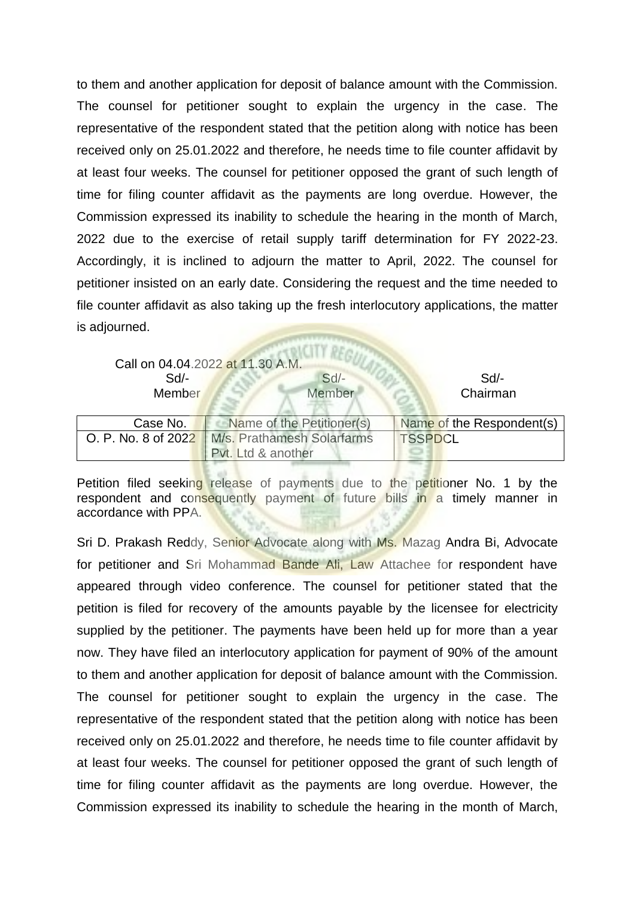to them and another application for deposit of balance amount with the Commission. The counsel for petitioner sought to explain the urgency in the case. The representative of the respondent stated that the petition along with notice has been received only on 25.01.2022 and therefore, he needs time to file counter affidavit by at least four weeks. The counsel for petitioner opposed the grant of such length of time for filing counter affidavit as the payments are long overdue. However, the Commission expressed its inability to schedule the hearing in the month of March, 2022 due to the exercise of retail supply tariff determination for FY 2022-23. Accordingly, it is inclined to adjourn the matter to April, 2022. The counsel for petitioner insisted on an early date. Considering the request and the time needed to file counter affidavit as also taking up the fresh interlocutory applications, the matter is adjourned.

| $Sd$ -<br>Member    | Call on 04.04.2022 at 11.30 A.M.<br>$Sd$ -<br>Member | Sd<br>Chairman            |
|---------------------|------------------------------------------------------|---------------------------|
| Case No.            | Name of the Petitioner(s)                            | Name of the Respondent(s) |
| O. P. No. 8 of 2022 | M/s. Prathamesh Solarfarms                           | <b>TSSPDCL</b>            |
|                     | Pvt. Ltd & another                                   |                           |

Petition filed seeking release of payments due to the petitioner No. 1 by the respondent and consequently payment of future bills in a timely manner in accordance with PPA.

Sri D. Prakash Reddy, Senior Advocate along with Ms. Mazag Andra Bi, Advocate for petitioner and Sri Mohammad Bande Ali, Law Attachee for respondent have appeared through video conference. The counsel for petitioner stated that the petition is filed for recovery of the amounts payable by the licensee for electricity supplied by the petitioner. The payments have been held up for more than a year now. They have filed an interlocutory application for payment of 90% of the amount to them and another application for deposit of balance amount with the Commission. The counsel for petitioner sought to explain the urgency in the case. The representative of the respondent stated that the petition along with notice has been received only on 25.01.2022 and therefore, he needs time to file counter affidavit by at least four weeks. The counsel for petitioner opposed the grant of such length of time for filing counter affidavit as the payments are long overdue. However, the Commission expressed its inability to schedule the hearing in the month of March,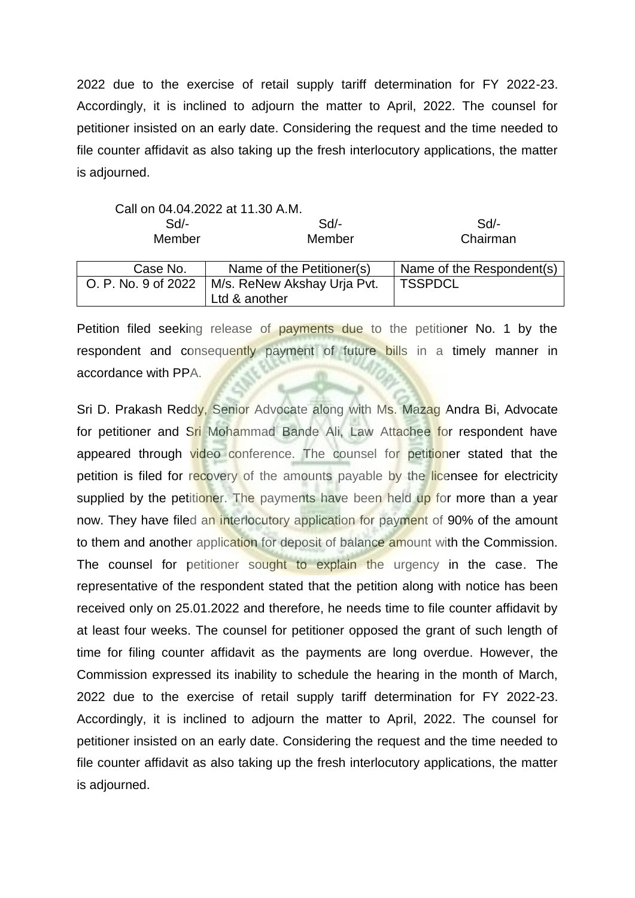2022 due to the exercise of retail supply tariff determination for FY 2022-23. Accordingly, it is inclined to adjourn the matter to April, 2022. The counsel for petitioner insisted on an early date. Considering the request and the time needed to file counter affidavit as also taking up the fresh interlocutory applications, the matter is adjourned.

|                     | Call on 04.04.2022 at 11.30 A.M. |                           |
|---------------------|----------------------------------|---------------------------|
| $Sd$ -              | $Sd$ -                           | Sd/-                      |
| Member              | Member                           | Chairman                  |
| Case No.            | Name of the Petitioner(s)        | Name of the Respondent(s) |
| O. P. No. 9 of 2022 | M/s. ReNew Akshay Urja Pvt.      | <b>TSSPDCL</b>            |

Ltd & another

Petition filed seeking release of payments due to the petitioner No. 1 by the respondent and consequently payment of future bills in a timely manner in accordance with PPA.

Sri D. Prakash Reddy, Senior Advocate along with Ms. Mazag Andra Bi, Advocate for petitioner and Sri Mohammad Bande Ali, Law Attachee for respondent have appeared through video conference. The counsel for petitioner stated that the petition is filed for recovery of the amounts payable by the licensee for electricity supplied by the petitioner. The payments have been held up for more than a year now. They have filed an interlocutory application for payment of 90% of the amount to them and another application for deposit of balance amount with the Commission. The counsel for petitioner sought to explain the urgency in the case. The representative of the respondent stated that the petition along with notice has been received only on 25.01.2022 and therefore, he needs time to file counter affidavit by at least four weeks. The counsel for petitioner opposed the grant of such length of time for filing counter affidavit as the payments are long overdue. However, the Commission expressed its inability to schedule the hearing in the month of March, 2022 due to the exercise of retail supply tariff determination for FY 2022-23. Accordingly, it is inclined to adjourn the matter to April, 2022. The counsel for petitioner insisted on an early date. Considering the request and the time needed to file counter affidavit as also taking up the fresh interlocutory applications, the matter is adjourned.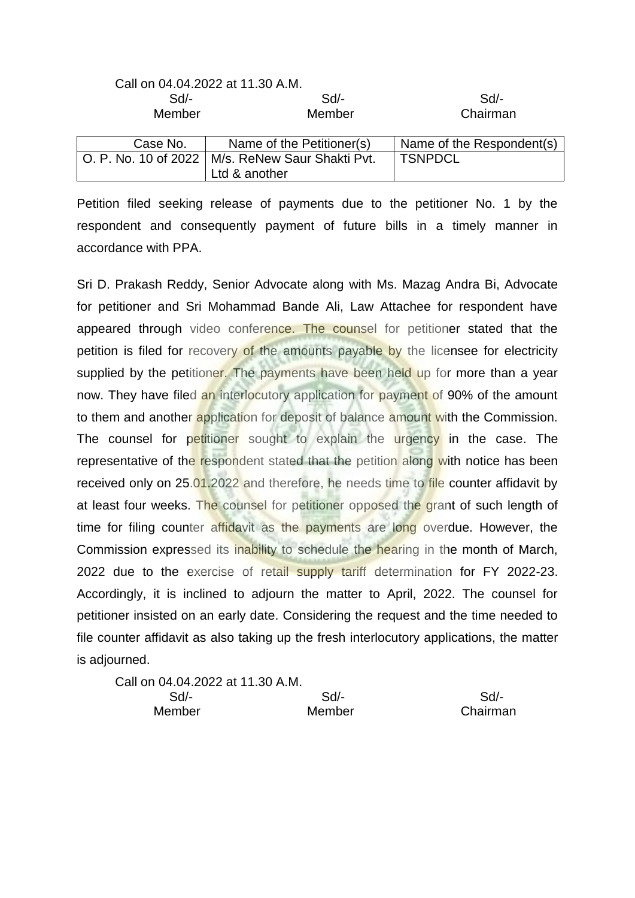|          | Call on 04.04.2022 at 11.30 A.M.                   |                           |
|----------|----------------------------------------------------|---------------------------|
| Sd       | $Sd$ -                                             | Sd                        |
| Member   | Member                                             | Chairman                  |
| Case No. | Name of the Petitioner(s)                          | Name of the Respondent(s) |
|          | O. P. No. 10 of 2022   M/s. ReNew Saur Shakti Pvt. | <b>TSNPDCL</b>            |
|          | Ltd & another                                      |                           |

Sri D. Prakash Reddy, Senior Advocate along with Ms. Mazag Andra Bi, Advocate for petitioner and Sri Mohammad Bande Ali, Law Attachee for respondent have appeared through video conference. The counsel for petitioner stated that the petition is filed for recovery of the amounts payable by the licensee for electricity supplied by the petitioner. The payments have been held up for more than a year now. They have filed an interlocutory application for payment of 90% of the amount to them and another application for deposit of balance amount with the Commission. The counsel for petitioner sought to explain the urgency in the case. The representative of the respondent stated that the petition along with notice has been received only on 25.01.2022 and therefore, he needs time to file counter affidavit by at least four weeks. The counsel for petitioner opposed the grant of such length of time for filing counter affidavit as the payments are long overdue. However, the Commission expressed its inability to schedule the hearing in the month of March, 2022 due to the exercise of retail supply tariff determination for FY 2022-23. Accordingly, it is inclined to adjourn the matter to April, 2022. The counsel for petitioner insisted on an early date. Considering the request and the time needed to file counter affidavit as also taking up the fresh interlocutory applications, the matter is adjourned.

| Call on 04.04.2022 at 11.30 A.M. |        |          |
|----------------------------------|--------|----------|
| Sd/-                             | Sd/-   | Sd       |
| <b>Member</b>                    | Member | Chairman |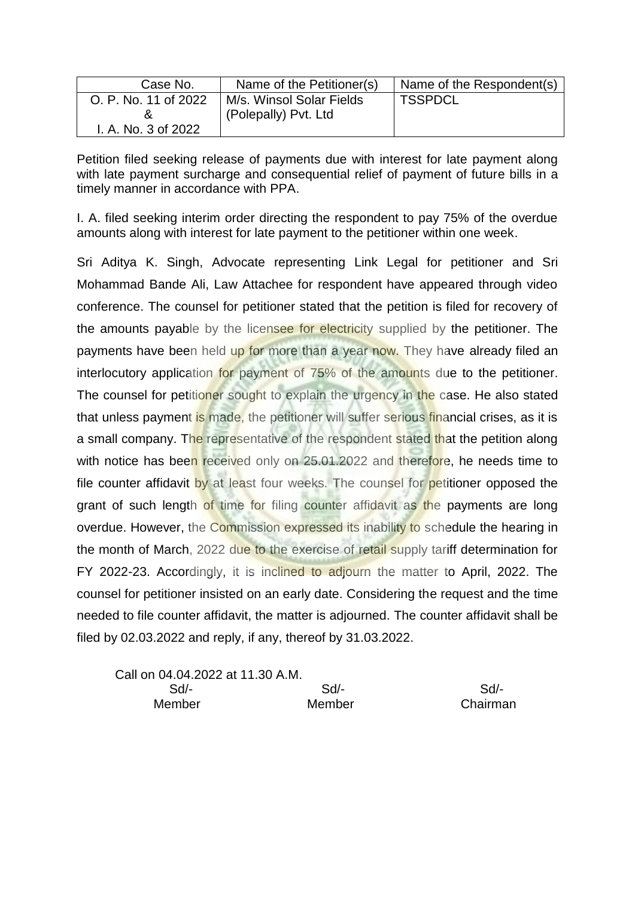| Case No.             | Name of the Petitioner(s) | Name of the Respondent(s) |
|----------------------|---------------------------|---------------------------|
| O. P. No. 11 of 2022 | M/s. Winsol Solar Fields  | <b>TSSPDCL</b>            |
|                      | (Polepally) Pvt. Ltd      |                           |
| I. A. No. 3 of 2022  |                           |                           |

I. A. filed seeking interim order directing the respondent to pay 75% of the overdue amounts along with interest for late payment to the petitioner within one week.

Sri Aditya K. Singh, Advocate representing Link Legal for petitioner and Sri Mohammad Bande Ali, Law Attachee for respondent have appeared through video conference. The counsel for petitioner stated that the petition is filed for recovery of the amounts payable by the licensee for electricity supplied by the petitioner. The payments have been held up for more than a year now. They have already filed an interlocutory application for payment of 75% of the amounts due to the petitioner. The counsel for petitioner sought to explain the urgency in the case. He also stated that unless payment is made, the petitioner will suffer serious financial crises, as it is a small company. The representative of the respondent stated that the petition along with notice has been received only on 25.01.2022 and therefore, he needs time to file counter affidavit by at least four weeks. The counsel for petitioner opposed the grant of such length of time for filing counter affidavit as the payments are long overdue. However, the Commission expressed its inability to schedule the hearing in the month of March, 2022 due to the exercise of retail supply tariff determination for FY 2022-23. Accordingly, it is inclined to adjourn the matter to April, 2022. The counsel for petitioner insisted on an early date. Considering the request and the time needed to file counter affidavit, the matter is adjourned. The counter affidavit shall be filed by 02.03.2022 and reply, if any, thereof by 31.03.2022.

Call on 04.04.2022 at 11.30 A.M. Sd/- Sd/- Sd/-

Member Member Chairman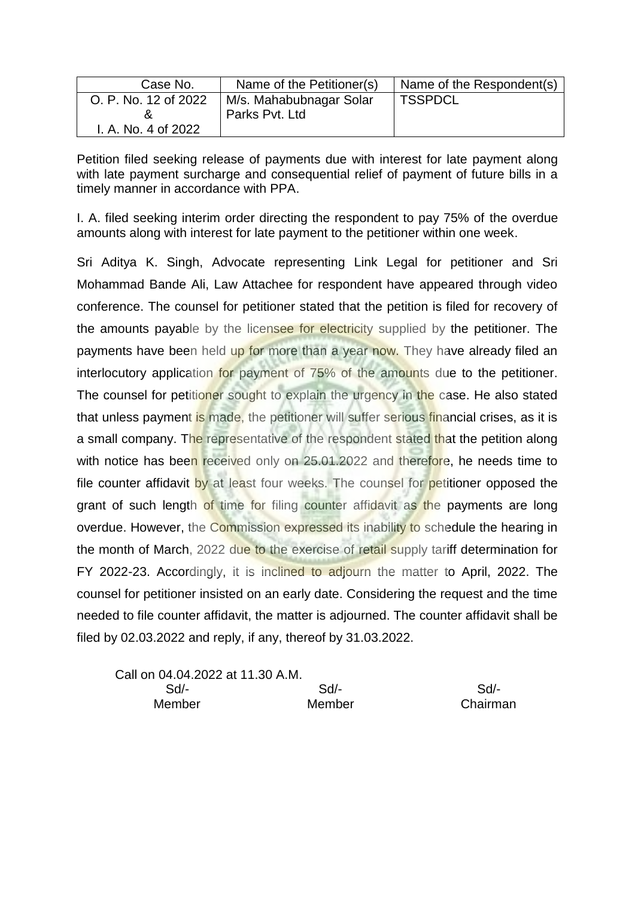| Case No.             | Name of the Petitioner(s) | Name of the Respondent(s) |
|----------------------|---------------------------|---------------------------|
| O. P. No. 12 of 2022 | M/s. Mahabubnagar Solar   | <b>TSSPDCL</b>            |
|                      | Parks Pvt. Ltd            |                           |
| I. A. No. 4 of 2022  |                           |                           |

I. A. filed seeking interim order directing the respondent to pay 75% of the overdue amounts along with interest for late payment to the petitioner within one week.

Sri Aditya K. Singh, Advocate representing Link Legal for petitioner and Sri Mohammad Bande Ali, Law Attachee for respondent have appeared through video conference. The counsel for petitioner stated that the petition is filed for recovery of the amounts payable by the licensee for electricity supplied by the petitioner. The payments have been held up for more than a year now. They have already filed an interlocutory application for payment of 75% of the amounts due to the petitioner. The counsel for petitioner sought to explain the urgency in the case. He also stated that unless payment is made, the petitioner will suffer serious financial crises, as it is a small company. The representative of the respondent stated that the petition along with notice has been received only on 25.01.2022 and therefore, he needs time to file counter affidavit by at least four weeks. The counsel for petitioner opposed the grant of such length of time for filing counter affidavit as the payments are long overdue. However, the Commission expressed its inability to schedule the hearing in the month of March, 2022 due to the exercise of retail supply tariff determination for FY 2022-23. Accordingly, it is inclined to adjourn the matter to April, 2022. The counsel for petitioner insisted on an early date. Considering the request and the time needed to file counter affidavit, the matter is adjourned. The counter affidavit shall be filed by 02.03.2022 and reply, if any, thereof by 31.03.2022.

Call on 04.04.2022 at 11.30 A.M.

 Sd/- Sd/- Sd/- Member Member Chairman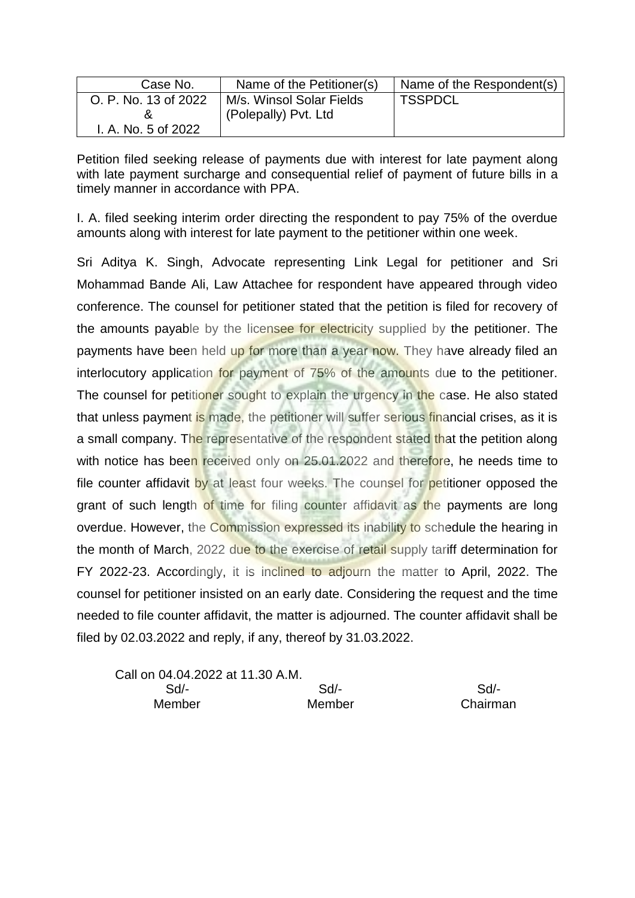| Case No.             | Name of the Petitioner(s) | Name of the Respondent(s) |
|----------------------|---------------------------|---------------------------|
| O. P. No. 13 of 2022 | M/s. Winsol Solar Fields  | <b>TSSPDCL</b>            |
|                      | (Polepally) Pvt. Ltd      |                           |
| I. A. No. 5 of 2022  |                           |                           |

I. A. filed seeking interim order directing the respondent to pay 75% of the overdue amounts along with interest for late payment to the petitioner within one week.

Sri Aditya K. Singh, Advocate representing Link Legal for petitioner and Sri Mohammad Bande Ali, Law Attachee for respondent have appeared through video conference. The counsel for petitioner stated that the petition is filed for recovery of the amounts payable by the licensee for electricity supplied by the petitioner. The payments have been held up for more than a year now. They have already filed an interlocutory application for payment of 75% of the amounts due to the petitioner. The counsel for petitioner sought to explain the urgency in the case. He also stated that unless payment is made, the petitioner will suffer serious financial crises, as it is a small company. The representative of the respondent stated that the petition along with notice has been received only on 25.01.2022 and therefore, he needs time to file counter affidavit by at least four weeks. The counsel for petitioner opposed the grant of such length of time for filing counter affidavit as the payments are long overdue. However, the Commission expressed its inability to schedule the hearing in the month of March, 2022 due to the exercise of retail supply tariff determination for FY 2022-23. Accordingly, it is inclined to adjourn the matter to April, 2022. The counsel for petitioner insisted on an early date. Considering the request and the time needed to file counter affidavit, the matter is adjourned. The counter affidavit shall be filed by 02.03.2022 and reply, if any, thereof by 31.03.2022.

Call on 04.04.2022 at 11.30 A.M.

 Sd/- Sd/- Sd/- Member Member Chairman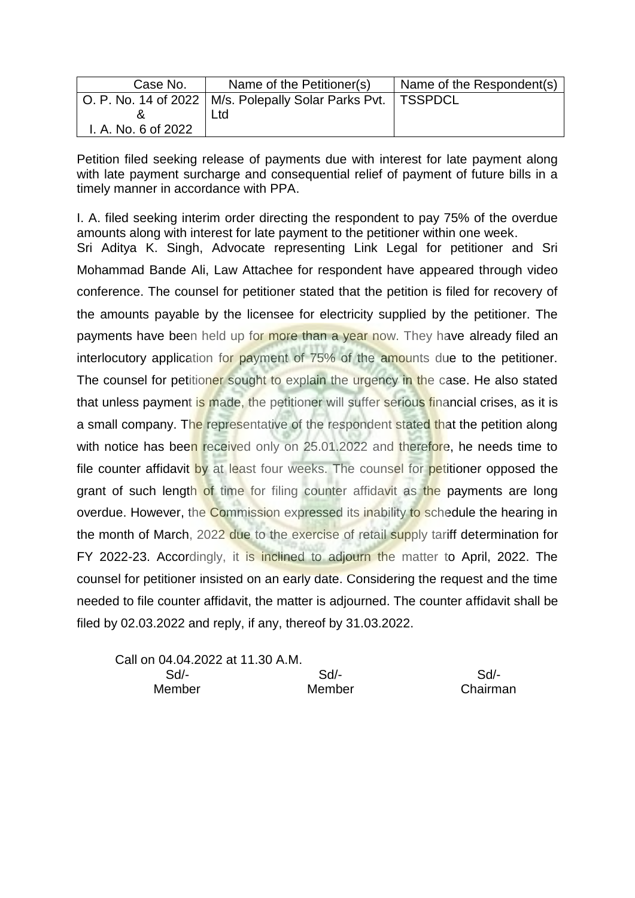| Case No.            | Name of the Petitioner(s)                                        | Name of the Respondent(s) |
|---------------------|------------------------------------------------------------------|---------------------------|
|                     | O. P. No. 14 of 2022   M/s. Polepally Solar Parks Pvt.   TSSPDCL |                           |
|                     | <b>Ltd</b>                                                       |                           |
| I. A. No. 6 of 2022 |                                                                  |                           |

I. A. filed seeking interim order directing the respondent to pay 75% of the overdue amounts along with interest for late payment to the petitioner within one week. Sri Aditya K. Singh, Advocate representing Link Legal for petitioner and Sri Mohammad Bande Ali, Law Attachee for respondent have appeared through video conference. The counsel for petitioner stated that the petition is filed for recovery of the amounts payable by the licensee for electricity supplied by the petitioner. The payments have been held up for more than a year now. They have already filed an interlocutory application for payment of 75% of the amounts due to the petitioner. The counsel for petitioner sought to explain the urgency in the case. He also stated that unless payment is made, the petitioner will suffer serious financial crises, as it is a small company. The representative of the respondent stated that the petition along with notice has been received only on 25.01.2022 and therefore, he needs time to file counter affidavit by at least four weeks. The counsel for petitioner opposed the grant of such length of time for filing counter affidavit as the payments are long overdue. However, the Commission expressed its inability to schedule the hearing in the month of March, 2022 due to the exercise of retail supply tariff determination for FY 2022-23. Accordingly, it is inclined to adjourn the matter to April, 2022. The counsel for petitioner insisted on an early date. Considering the request and the time needed to file counter affidavit, the matter is adjourned. The counter affidavit shall be filed by 02.03.2022 and reply, if any, thereof by 31.03.2022.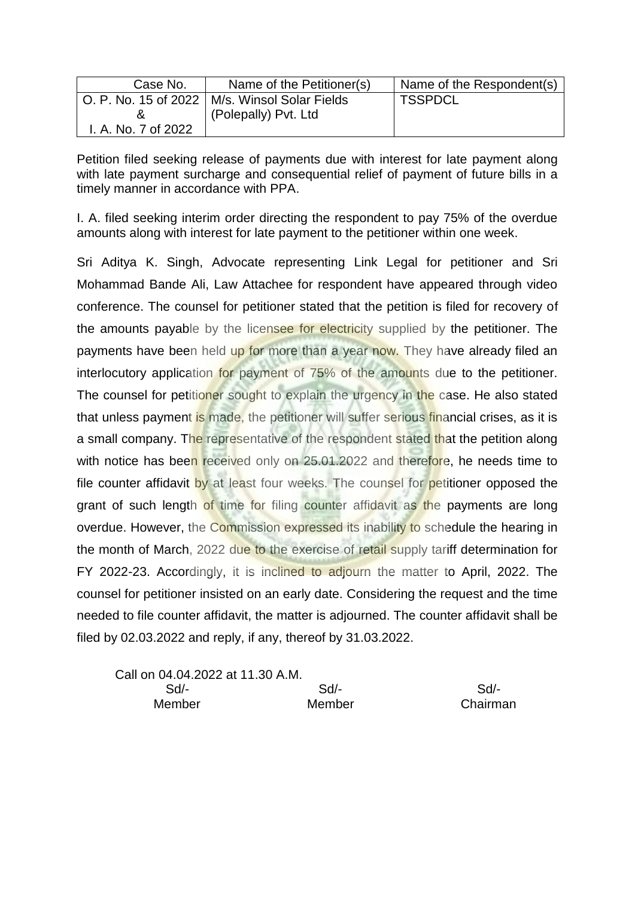| Case No.            | Name of the Petitioner(s)                       | Name of the Respondent(s) |
|---------------------|-------------------------------------------------|---------------------------|
|                     | O. P. No. 15 of 2022   M/s. Winsol Solar Fields | <b>TSSPDCL</b>            |
|                     | (Polepally) Pvt. Ltd                            |                           |
| I. A. No. 7 of 2022 |                                                 |                           |

I. A. filed seeking interim order directing the respondent to pay 75% of the overdue amounts along with interest for late payment to the petitioner within one week.

Sri Aditya K. Singh, Advocate representing Link Legal for petitioner and Sri Mohammad Bande Ali, Law Attachee for respondent have appeared through video conference. The counsel for petitioner stated that the petition is filed for recovery of the amounts payable by the licensee for electricity supplied by the petitioner. The payments have been held up for more than a year now. They have already filed an interlocutory application for payment of 75% of the amounts due to the petitioner. The counsel for petitioner sought to explain the urgency in the case. He also stated that unless payment is made, the petitioner will suffer serious financial crises, as it is a small company. The representative of the respondent stated that the petition along with notice has been received only on 25.01.2022 and therefore, he needs time to file counter affidavit by at least four weeks. The counsel for petitioner opposed the grant of such length of time for filing counter affidavit as the payments are long overdue. However, the Commission expressed its inability to schedule the hearing in the month of March, 2022 due to the exercise of retail supply tariff determination for FY 2022-23. Accordingly, it is inclined to adjourn the matter to April, 2022. The counsel for petitioner insisted on an early date. Considering the request and the time needed to file counter affidavit, the matter is adjourned. The counter affidavit shall be filed by 02.03.2022 and reply, if any, thereof by 31.03.2022.

Call on 04.04.2022 at 11.30 A.M.

 Sd/- Sd/- Sd/- Member Member Chairman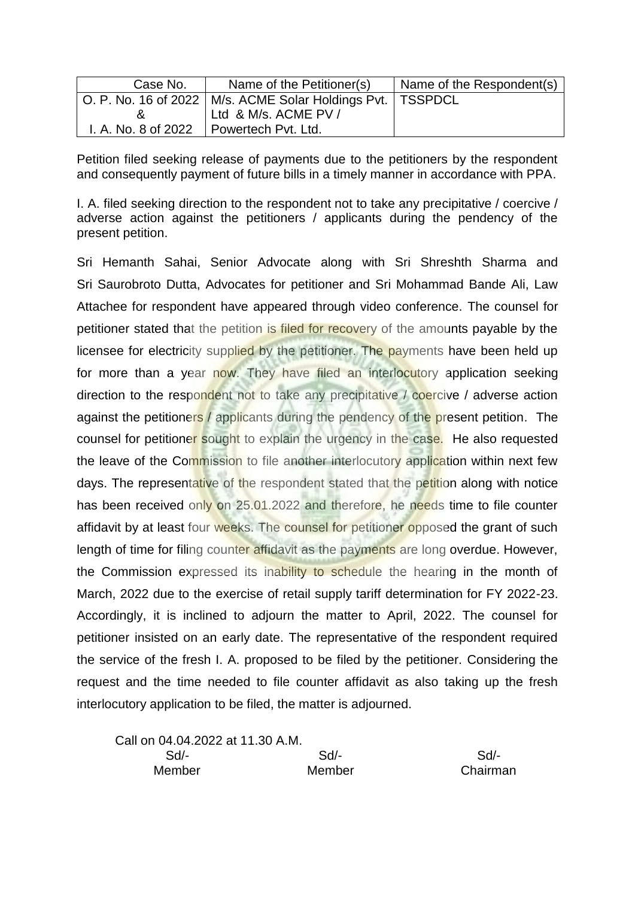| Case No.            | Name of the Petitioner(s)                                      | Name of the Respondent(s) |
|---------------------|----------------------------------------------------------------|---------------------------|
|                     | O. P. No. 16 of 2022   M/s. ACME Solar Holdings Pvt.   TSSPDCL |                           |
|                     | Ltd & M/s. ACME PV /                                           |                           |
| I. A. No. 8 of 2022 | Powertech Pvt. Ltd.                                            |                           |

I. A. filed seeking direction to the respondent not to take any precipitative / coercive / adverse action against the petitioners / applicants during the pendency of the present petition.

Sri Hemanth Sahai, Senior Advocate along with Sri Shreshth Sharma and Sri Saurobroto Dutta, Advocates for petitioner and Sri Mohammad Bande Ali, Law Attachee for respondent have appeared through video conference. The counsel for petitioner stated that the petition is filed for recovery of the amounts payable by the licensee for electricity supplied by the petitioner. The payments have been held up for more than a year now. They have filed an interlocutory application seeking direction to the respondent not to take any precipitative / coercive / adverse action against the petitioners / applicants during the pendency of the present petition. The counsel for petitioner sought to explain the urgency in the case. He also requested the leave of the Commission to file another interlocutory application within next few days. The representative of the respondent stated that the petition along with notice has been received only on 25.01.2022 and therefore, he needs time to file counter affidavit by at least four weeks. The counsel for petitioner opposed the grant of such length of time for filing counter affidavit as the payments are long overdue. However, the Commission expressed its inability to schedule the hearing in the month of March, 2022 due to the exercise of retail supply tariff determination for FY 2022-23. Accordingly, it is inclined to adjourn the matter to April, 2022. The counsel for petitioner insisted on an early date. The representative of the respondent required the service of the fresh I. A. proposed to be filed by the petitioner. Considering the request and the time needed to file counter affidavit as also taking up the fresh interlocutory application to be filed, the matter is adjourned.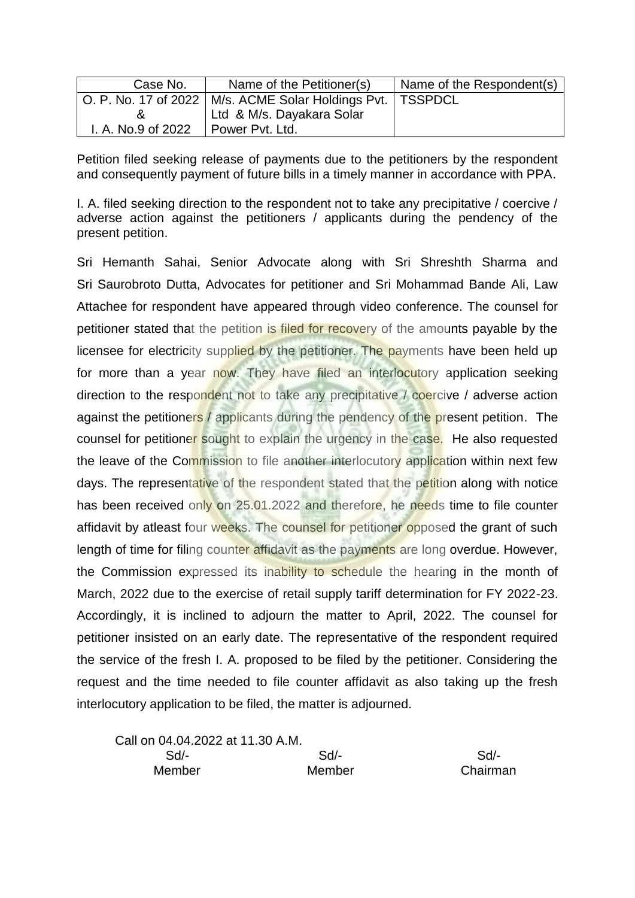| Case No.           | Name of the Petitioner(s)                                      | Name of the Respondent(s) |
|--------------------|----------------------------------------------------------------|---------------------------|
|                    | O. P. No. 17 of 2022   M/s. ACME Solar Holdings Pvt.   TSSPDCL |                           |
|                    | Ltd & M/s. Dayakara Solar                                      |                           |
| I. A. No.9 of 2022 | Power Pyt. Ltd.                                                |                           |

I. A. filed seeking direction to the respondent not to take any precipitative / coercive / adverse action against the petitioners / applicants during the pendency of the present petition.

Sri Hemanth Sahai, Senior Advocate along with Sri Shreshth Sharma and Sri Saurobroto Dutta, Advocates for petitioner and Sri Mohammad Bande Ali, Law Attachee for respondent have appeared through video conference. The counsel for petitioner stated that the petition is filed for recovery of the amounts payable by the licensee for electricity supplied by the petitioner. The payments have been held up for more than a year now. They have filed an interlocutory application seeking direction to the respondent not to take any precipitative / coercive / adverse action against the petitioners / applicants during the pendency of the present petition. The counsel for petitioner sought to explain the urgency in the case. He also requested the leave of the Commission to file another interlocutory application within next few days. The representative of the respondent stated that the petition along with notice has been received only on 25.01.2022 and therefore, he needs time to file counter affidavit by atleast four weeks. The counsel for petitioner opposed the grant of such length of time for filing counter affidavit as the payments are long overdue. However, the Commission expressed its inability to schedule the hearing in the month of March, 2022 due to the exercise of retail supply tariff determination for FY 2022-23. Accordingly, it is inclined to adjourn the matter to April, 2022. The counsel for petitioner insisted on an early date. The representative of the respondent required the service of the fresh I. A. proposed to be filed by the petitioner. Considering the request and the time needed to file counter affidavit as also taking up the fresh interlocutory application to be filed, the matter is adjourned.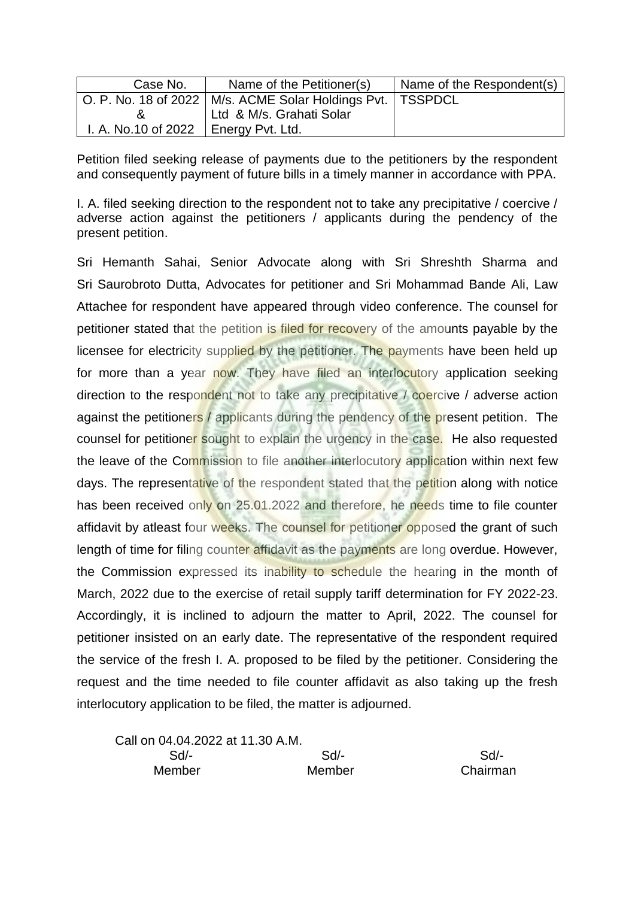| Case No.                                    | Name of the Petitioner(s)                                      | Name of the Respondent(s) |
|---------------------------------------------|----------------------------------------------------------------|---------------------------|
|                                             | O. P. No. 18 of 2022   M/s. ACME Solar Holdings Pvt.   TSSPDCL |                           |
|                                             | Ltd & M/s. Grahati Solar                                       |                           |
| I. A. No.10 of 2022 $\mid$ Energy Pvt. Ltd. |                                                                |                           |

I. A. filed seeking direction to the respondent not to take any precipitative / coercive / adverse action against the petitioners / applicants during the pendency of the present petition.

Sri Hemanth Sahai, Senior Advocate along with Sri Shreshth Sharma and Sri Saurobroto Dutta, Advocates for petitioner and Sri Mohammad Bande Ali, Law Attachee for respondent have appeared through video conference. The counsel for petitioner stated that the petition is filed for recovery of the amounts payable by the licensee for electricity supplied by the petitioner. The payments have been held up for more than a year now. They have filed an interlocutory application seeking direction to the respondent not to take any precipitative / coercive / adverse action against the petitioners / applicants during the pendency of the present petition. The counsel for petitioner sought to explain the urgency in the case. He also requested the leave of the Commission to file another interlocutory application within next few days. The representative of the respondent stated that the petition along with notice has been received only on 25.01.2022 and therefore, he needs time to file counter affidavit by atleast four weeks. The counsel for petitioner opposed the grant of such length of time for filing counter affidavit as the payments are long overdue. However, the Commission expressed its inability to schedule the hearing in the month of March, 2022 due to the exercise of retail supply tariff determination for FY 2022-23. Accordingly, it is inclined to adjourn the matter to April, 2022. The counsel for petitioner insisted on an early date. The representative of the respondent required the service of the fresh I. A. proposed to be filed by the petitioner. Considering the request and the time needed to file counter affidavit as also taking up the fresh interlocutory application to be filed, the matter is adjourned.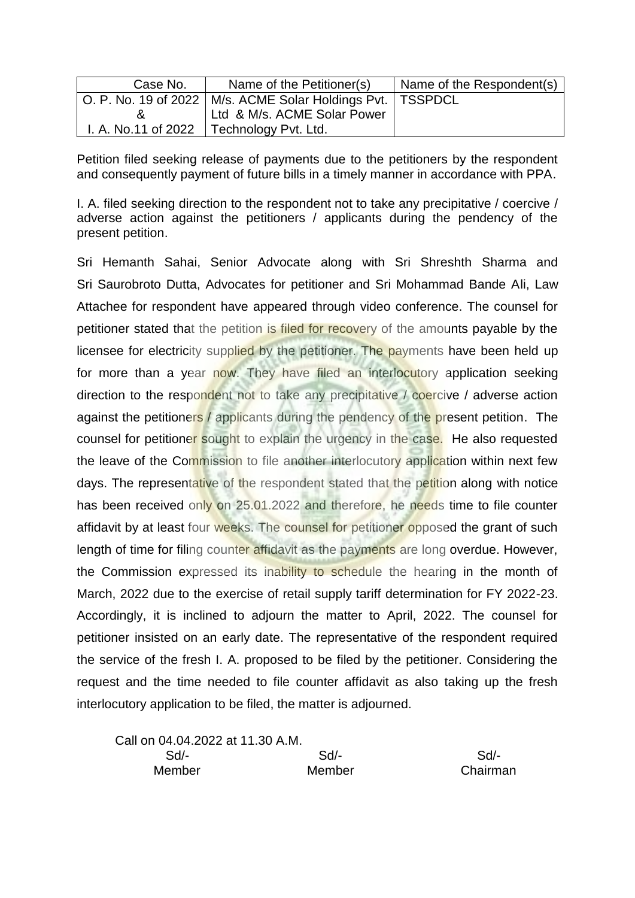| Case No.            | Name of the Petitioner(s)                                      | Name of the Respondent(s) |
|---------------------|----------------------------------------------------------------|---------------------------|
|                     | O. P. No. 19 of 2022   M/s. ACME Solar Holdings Pvt.   TSSPDCL |                           |
|                     | Ltd & M/s. ACME Solar Power                                    |                           |
| I. A. No.11 of 2022 | Technology Pvt. Ltd.                                           |                           |

I. A. filed seeking direction to the respondent not to take any precipitative / coercive / adverse action against the petitioners / applicants during the pendency of the present petition.

Sri Hemanth Sahai, Senior Advocate along with Sri Shreshth Sharma and Sri Saurobroto Dutta, Advocates for petitioner and Sri Mohammad Bande Ali, Law Attachee for respondent have appeared through video conference. The counsel for petitioner stated that the petition is filed for recovery of the amounts payable by the licensee for electricity supplied by the petitioner. The payments have been held up for more than a year now. They have filed an interlocutory application seeking direction to the respondent not to take any precipitative / coercive / adverse action against the petitioners / applicants during the pendency of the present petition. The counsel for petitioner sought to explain the urgency in the case. He also requested the leave of the Commission to file another interlocutory application within next few days. The representative of the respondent stated that the petition along with notice has been received only on 25.01.2022 and therefore, he needs time to file counter affidavit by at least four weeks. The counsel for petitioner opposed the grant of such length of time for filing counter affidavit as the payments are long overdue. However, the Commission expressed its inability to schedule the hearing in the month of March, 2022 due to the exercise of retail supply tariff determination for FY 2022-23. Accordingly, it is inclined to adjourn the matter to April, 2022. The counsel for petitioner insisted on an early date. The representative of the respondent required the service of the fresh I. A. proposed to be filed by the petitioner. Considering the request and the time needed to file counter affidavit as also taking up the fresh interlocutory application to be filed, the matter is adjourned.